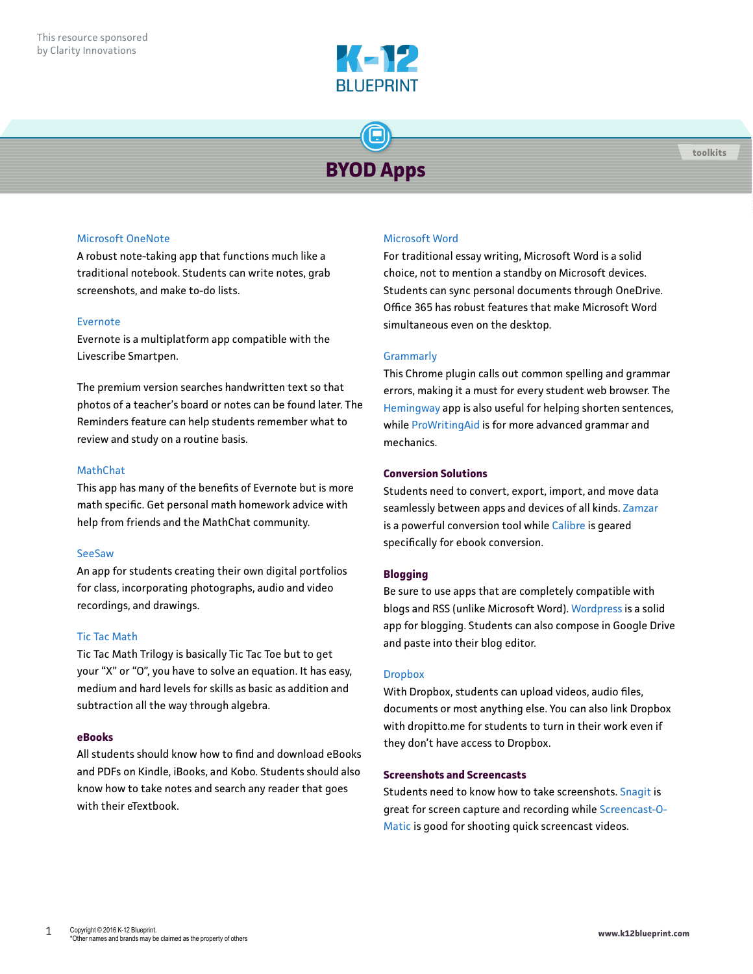

# **BYOD Apps**

# [Microsoft OneNote](https://www.onenote.com/)

A robust note-taking app that functions much like a traditional notebook. Students can write notes, grab screenshots, and make to-do lists.

# [Evernote](https://evernote.com/)

Evernote is a multiplatform app compatible with the Livescribe Smartpen.

The premium version searches handwritten text so that photos of a teacher's board or notes can be found later. The Reminders feature can help students remember what to review and study on a routine basis.

# [MathChat](http://math.chat/)

This app has many of the benefits of Evernote but is more math specific. Get personal math homework advice with help from friends and the MathChat community.

# [SeeSaw](http://web.seesaw.me/)

An app for students creating their own digital portfolios for class, incorporating photographs, audio and video recordings, and drawings.

# [Tic Tac Math](http://iplaymathgames.com)

Tic Tac Math Trilogy is basically Tic Tac Toe but to get your "X" or "O", you have to solve an equation. It has easy, medium and hard levels for skills as basic as addition and subtraction all the way through algebra.

# **eBooks**

All students should know how to find and download eBooks and PDFs on Kindle, iBooks, and Kobo. Students should also know how to take notes and search any reader that goes with their eTextbook.

# [Microsoft Word](https://products.office.com/en-us/word)

For traditional essay writing, Microsoft Word is a solid choice, not to mention a standby on Microsoft devices. Students can sync personal documents through OneDrive. Office 365 has robust features that make Microsoft Word simultaneous even on the desktop.

# **[Grammarly](http://www.Grammarly.com)**

This Chrome plugin calls out common spelling and grammar errors, making it a must for every student web browser. The [Hemingway](http://www.hemingwayapp.com/) app is also useful for helping shorten sentences, while [ProWritingAid](http://www.ProWritingAid.com) is for more advanced grammar and mechanics.

# **Conversion Solutions**

Students need to convert, export, import, and move data seamlessly between apps and devices of all kinds. [Zamzar](http://www.Zamzar.com) is a powerful conversion tool while [Calibre](http://www.Calibre-ebook.com) is geared specifically for ebook conversion.

# **Blogging**

Be sure to use apps that are completely compatible with blogs and RSS (unlike Microsoft Word). [Wordpress](http://www.Wordpress.com) is a solid app for blogging. Students can also compose in Google Drive and paste into their blog editor.

# **[Dropbox](http://www.Dropbox.com)**

With Dropbox, students can upload videos, audio files, documents or most anything else. You can also link Dropbox with dropitto.me for students to turn in their work even if they don't have access to Dropbox.

# **Screenshots and Screencasts**

Students need to know how to take screenshots. [Snagit](https://www.techsmith.com/snagit.html) is great for screen capture and recording while [Screencast-O-](http://www.Screencast-O-Matic.com)[Matic](http://www.Screencast-O-Matic.com) is good for shooting quick screencast videos.